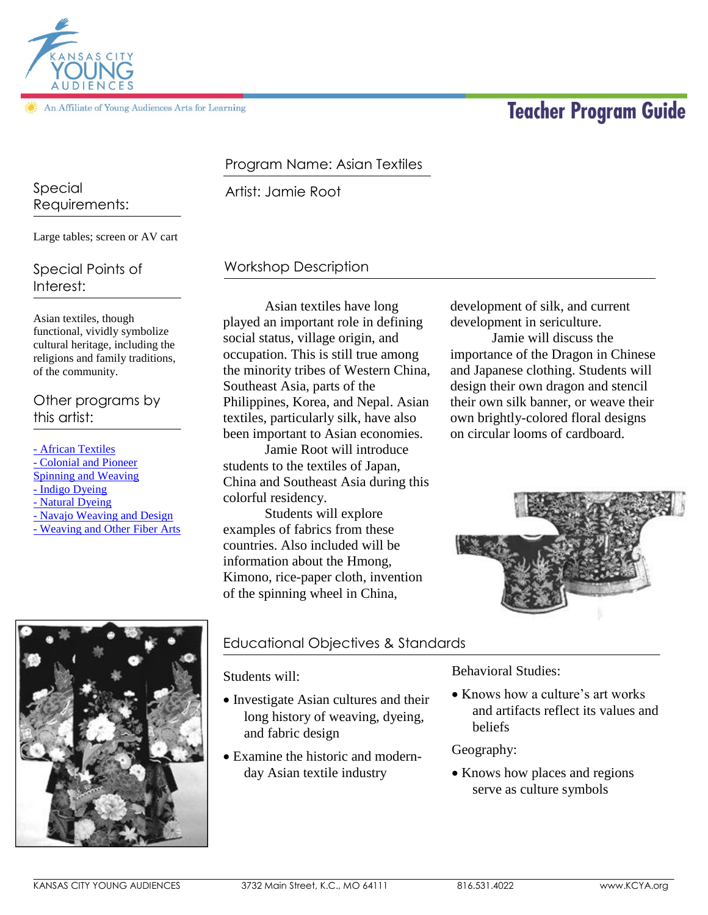

# **Teacher Program Guide**

#### Program Name: Asian Textiles

Artist: Jamie Root Special

# Requirements:

**ANSAS CITY** 

Large tables; screen or AV cart

# Special Points of Interest:

Asian textiles, though functional, vividly symbolize cultural heritage, including the religions and family traditions, of the community.

Other programs by this artist:

- [African Textiles](http://kcya.lazarusgroup.com/art_catalog.php?page=list&q=item&id=515) - [Colonial and Pioneer](http://kcya.lazarusgroup.com/art_catalog.php?page=list&q=item&id=228)  [Spinning and Weaving](http://kcya.lazarusgroup.com/art_catalog.php?page=list&q=item&id=228) - [Indigo Dyeing](http://kcya.lazarusgroup.com/art_catalog.php?page=list&q=item&id=192) - [Natural Dyeing](http://kcya.lazarusgroup.com/art_catalog.php?page=list&q=item&id=306) - [Navajo Weaving and Design](http://kcya.lazarusgroup.com/art_catalog.php?page=list&q=item&id=308) - [Weaving and Other Fiber Arts](http://kcya.lazarusgroup.com/art_catalog.php?page=list&q=item&id=336)

# Workshop Description

Asian textiles have long played an important role in defining social status, village origin, and occupation. This is still true among the minority tribes of Western China, Southeast Asia, parts of the Philippines, Korea, and Nepal. Asian textiles, particularly silk, have also been important to Asian economies.

Jamie Root will introduce students to the textiles of Japan, China and Southeast Asia during this colorful residency.

Students will explore examples of fabrics from these countries. Also included will be information about the Hmong, Kimono, rice-paper cloth, invention of the spinning wheel in China,

development of silk, and current development in sericulture.

Jamie will discuss the importance of the Dragon in Chinese and Japanese clothing. Students will design their own dragon and stencil their own silk banner, or weave their own brightly-colored floral designs on circular looms of cardboard.





# Educational Objectives & Standards

Students will:

- Investigate Asian cultures and their long history of weaving, dyeing, and fabric design
- Examine the historic and modernday Asian textile industry

Behavioral Studies:

• Knows how a culture's art works and artifacts reflect its values and beliefs

#### Geography:

• Knows how places and regions serve as culture symbols